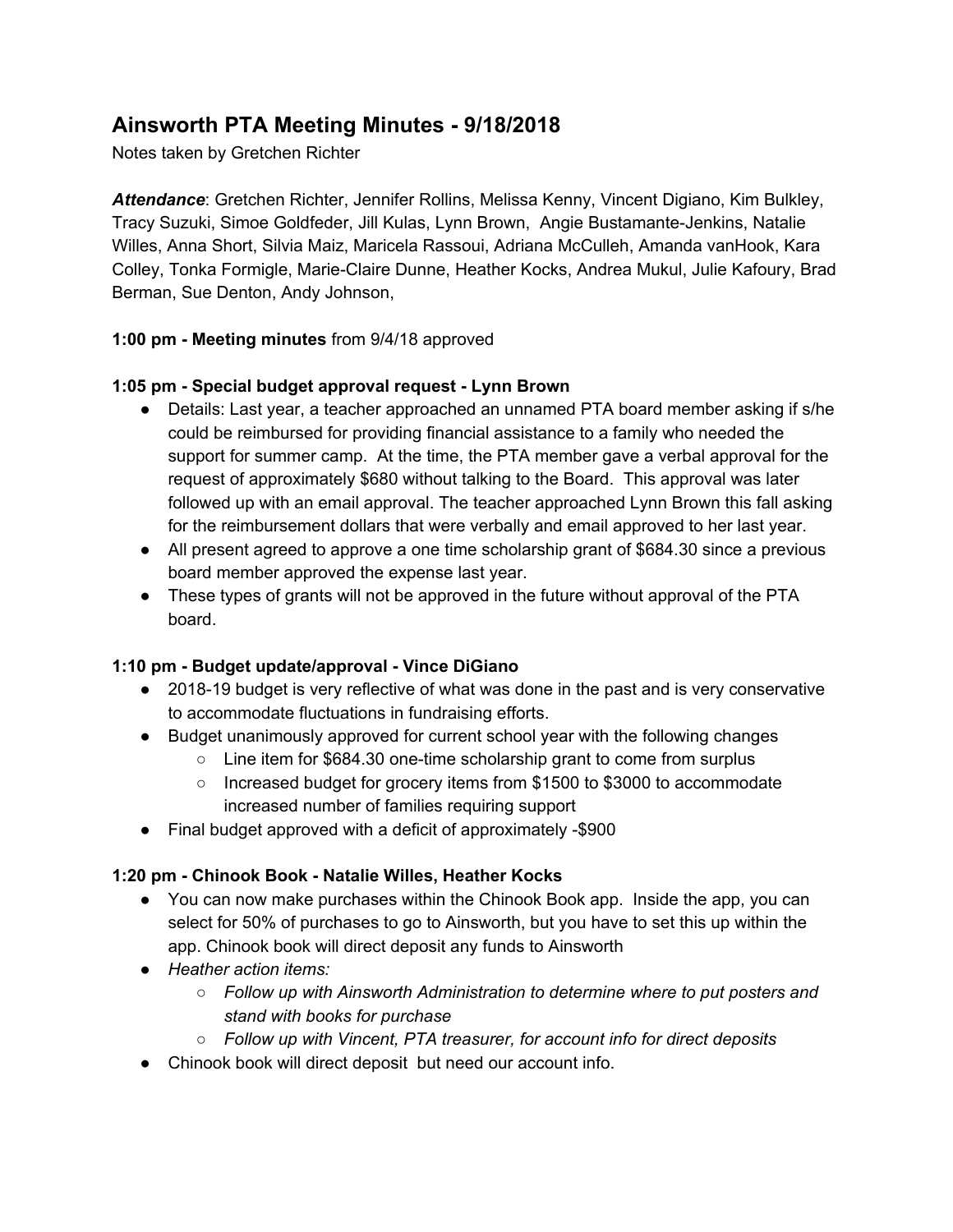# **Ainsworth PTA Meeting Minutes - 9/18/2018**

Notes taken by Gretchen Richter

*Attendance*: Gretchen Richter, Jennifer Rollins, Melissa Kenny, Vincent Digiano, Kim Bulkley, Tracy Suzuki, Simoe Goldfeder, Jill Kulas, Lynn Brown, Angie Bustamante-Jenkins, Natalie Willes, Anna Short, Silvia Maiz, Maricela Rassoui, Adriana McCulleh, Amanda vanHook, Kara Colley, Tonka Formigle, Marie-Claire Dunne, Heather Kocks, Andrea Mukul, Julie Kafoury, Brad Berman, Sue Denton, Andy Johnson,

## **1:00 pm - Meeting minutes** from 9/4/18 approved

## **1:05 pm - Special budget approval request - Lynn Brown**

- Details: Last year, a teacher approached an unnamed PTA board member asking if s/he could be reimbursed for providing financial assistance to a family who needed the support for summer camp. At the time, the PTA member gave a verbal approval for the request of approximately \$680 without talking to the Board. This approval was later followed up with an email approval. The teacher approached Lynn Brown this fall asking for the reimbursement dollars that were verbally and email approved to her last year.
- All present agreed to approve a one time scholarship grant of \$684.30 since a previous board member approved the expense last year.
- These types of grants will not be approved in the future without approval of the PTA board.

# **1:10 pm - Budget update/approval - Vince DiGiano**

- 2018-19 budget is very reflective of what was done in the past and is very conservative to accommodate fluctuations in fundraising efforts.
- Budget unanimously approved for current school year with the following changes
	- Line item for \$684.30 one-time scholarship grant to come from surplus
		- Increased budget for grocery items from \$1500 to \$3000 to accommodate increased number of families requiring support
- Final budget approved with a deficit of approximately -\$900

# **1:20 pm - Chinook Book - Natalie Willes, Heather Kocks**

- You can now make purchases within the Chinook Book app. Inside the app, you can select for 50% of purchases to go to Ainsworth, but you have to set this up within the app. Chinook book will direct deposit any funds to Ainsworth
- *● Heather action items:*
	- *○ Follow up with Ainsworth Administration to determine where to put posters and stand with books for purchase*
	- *○ Follow up with Vincent, PTA treasurer, for account info for direct deposits*
- Chinook book will direct deposit but need our account info.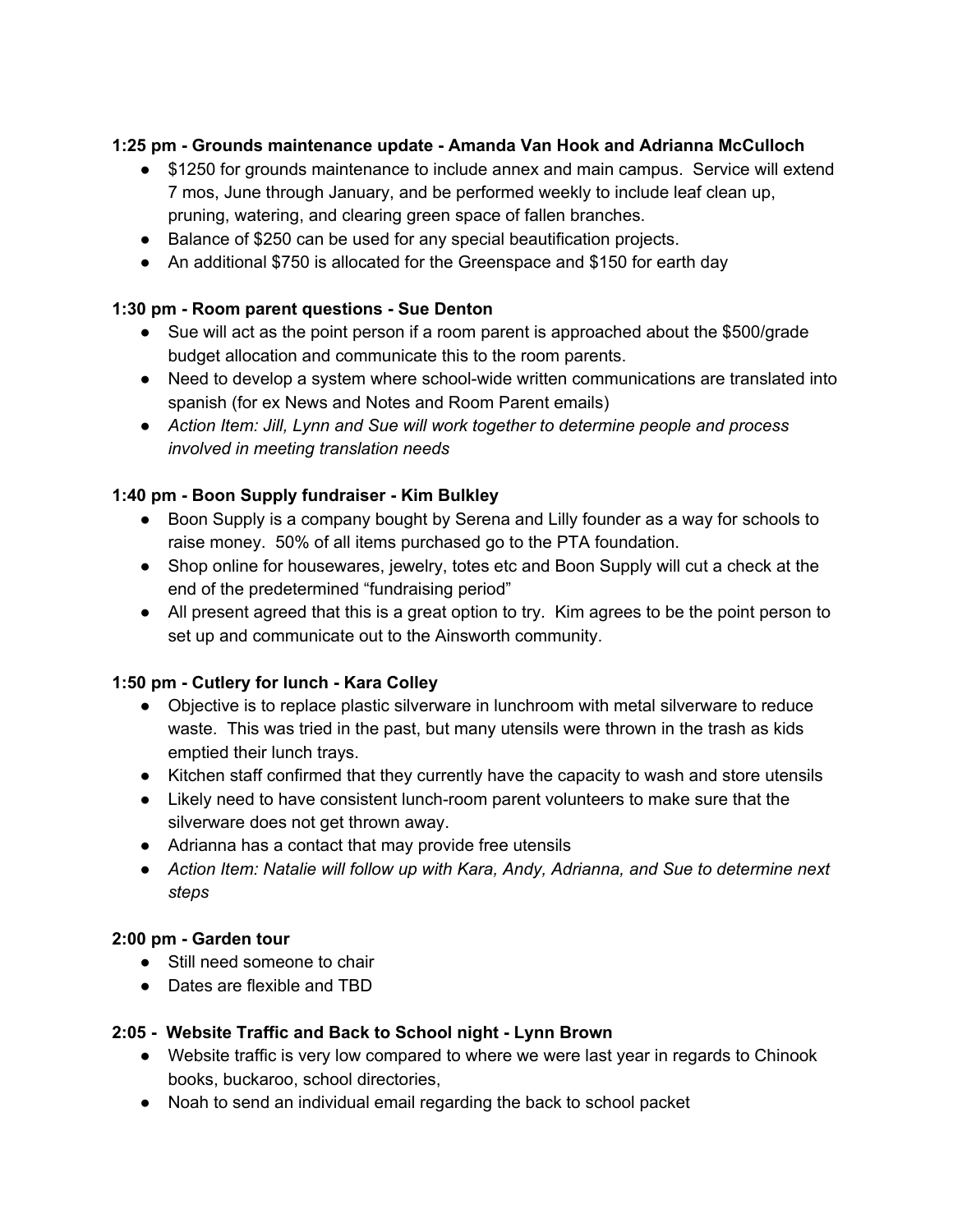## **1:25 pm - Grounds maintenance update - Amanda Van Hook and Adrianna McCulloch**

- \$1250 for grounds maintenance to include annex and main campus. Service will extend 7 mos, June through January, and be performed weekly to include leaf clean up, pruning, watering, and clearing green space of fallen branches.
- Balance of \$250 can be used for any special beautification projects.
- An additional \$750 is allocated for the Greenspace and \$150 for earth day

#### **1:30 pm - Room parent questions - Sue Denton**

- Sue will act as the point person if a room parent is approached about the \$500/grade budget allocation and communicate this to the room parents.
- Need to develop a system where school-wide written communications are translated into spanish (for ex News and Notes and Room Parent emails)
- *● Action Item: Jill, Lynn and Sue will work together to determine people and process involved in meeting translation needs*

#### **1:40 pm - Boon Supply fundraiser - Kim Bulkley**

- Boon Supply is a company bought by Serena and Lilly founder as a way for schools to raise money. 50% of all items purchased go to the PTA foundation.
- Shop online for housewares, jewelry, totes etc and Boon Supply will cut a check at the end of the predetermined "fundraising period"
- All present agreed that this is a great option to try. Kim agrees to be the point person to set up and communicate out to the Ainsworth community.

#### **1:50 pm - Cutlery for lunch - Kara Colley**

- Objective is to replace plastic silverware in lunchroom with metal silverware to reduce waste. This was tried in the past, but many utensils were thrown in the trash as kids emptied their lunch trays.
- Kitchen staff confirmed that they currently have the capacity to wash and store utensils
- Likely need to have consistent lunch-room parent volunteers to make sure that the silverware does not get thrown away.
- Adrianna has a contact that may provide free utensils
- *● Action Item: Natalie will follow up with Kara, Andy, Adrianna, and Sue to determine next steps*

#### **2:00 pm - Garden tour**

- Still need someone to chair
- Dates are flexible and TBD

#### **2:05 - Website Traffic and Back to School night - Lynn Brown**

- Website traffic is very low compared to where we were last year in regards to Chinook books, buckaroo, school directories,
- Noah to send an individual email regarding the back to school packet